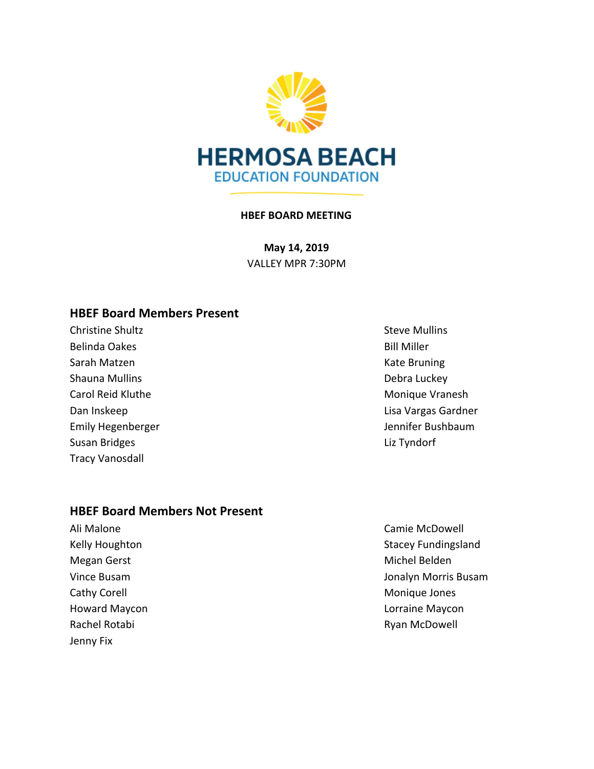

### **HBEF BOARD MEETING**

**May 14, 2019** VALLEY MPR 7:30PM

## **HBEF Board Members Present**

**Christine Shultz** Christian Christian Christian Christian Christian Christian Christian Christian Christian Christian Christian Christian Christian Christian Christian Christian Christian Christian Christian Christian Chr Belinda Oakes and the settlement of the settlement of the Bill Miller Sarah Matzen Kate Bruning Shauna Mullins **Debra Luckey** Carol Reid Kluthe Monique Vranesh Susan Bridges **Liz Tyndorf** Tracy Vanosdall

### **HBEF Board Members Not Present**

Ali Malone Camie McDowell Megan Gerst **Michel Belden** Michel Belden Cathy Corell **Monique Jones** Cathy Corell **Monique Jones** Rachel Rotabi **Rachel Rotabi** Ryan McDowell Jenny Fix

Dan Inskeep **Lisa Vargas Gardner** Emily Hegenberger **Guide Emily Hegenberger** Jennifer Bushbaum

Kelly Houghton Stacey Fundingsland Vince Busam Jonalyn Morris Busam Howard Maycon Lorraine Maycon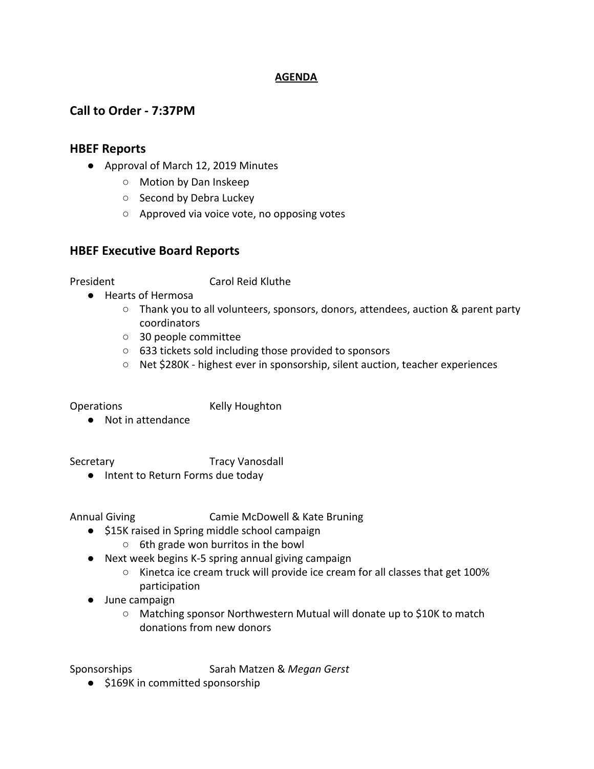### **AGENDA**

# **Call to Order - 7:37PM**

## **HBEF Reports**

- Approval of March 12, 2019 Minutes
	- Motion by Dan Inskeep
	- Second by Debra Luckey
	- Approved via voice vote, no opposing votes

## **HBEF Executive Board Reports**

President Carol Reid Kluthe

- Hearts of Hermosa
	- Thank you to all volunteers, sponsors, donors, attendees, auction & parent party coordinators
	- 30 people committee
	- 633 tickets sold including those provided to sponsors
	- Net \$280K highest ever in sponsorship, silent auction, teacher experiences

Operations Kelly Houghton

● Not in attendance

Secretary **Tracy Vanosdall** 

● Intent to Return Forms due today

Annual Giving Camie McDowell & Kate Bruning

- \$15K raised in Spring middle school campaign
	- 6th grade won burritos in the bowl
- Next week begins K-5 spring annual giving campaign
	- Kinetca ice cream truck will provide ice cream for all classes that get 100% participation
- June campaign
	- Matching sponsor Northwestern Mutual will donate up to \$10K to match donations from new donors

Sponsorships Sarah Matzen & *Megan Gerst*

● \$169K in committed sponsorship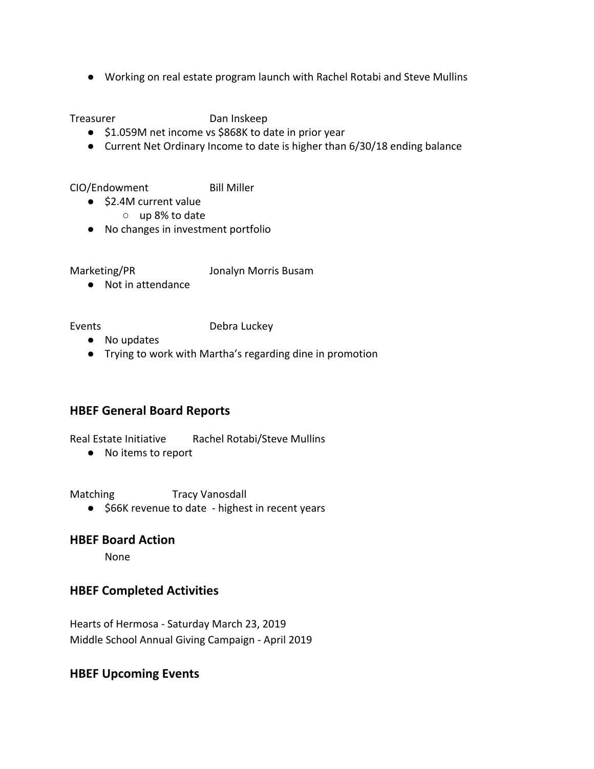● Working on real estate program launch with Rachel Rotabi and Steve Mullins

Treasurer Dan Inskeep

- \$1.059M net income vs \$868K to date in prior year
- Current Net Ordinary Income to date is higher than 6/30/18 ending balance

CIO/Endowment Bill Miller

- \$2.4M current value
	- up 8% to date
- No changes in investment portfolio

Marketing/PR Jonalyn Morris Busam

● Not in attendance

### Events **Debra Luckey**

- No updates
- Trying to work with Martha's regarding dine in promotion

# **HBEF General Board Reports**

Real Estate Initiative Rachel Rotabi/Steve Mullins

● No items to report

Matching Tracy Vanosdall

● \$66K revenue to date - highest in recent years

## **HBEF Board Action**

None

# **HBEF Completed Activities**

Hearts of Hermosa - Saturday March 23, 2019 Middle School Annual Giving Campaign - April 2019

## **HBEF Upcoming Events**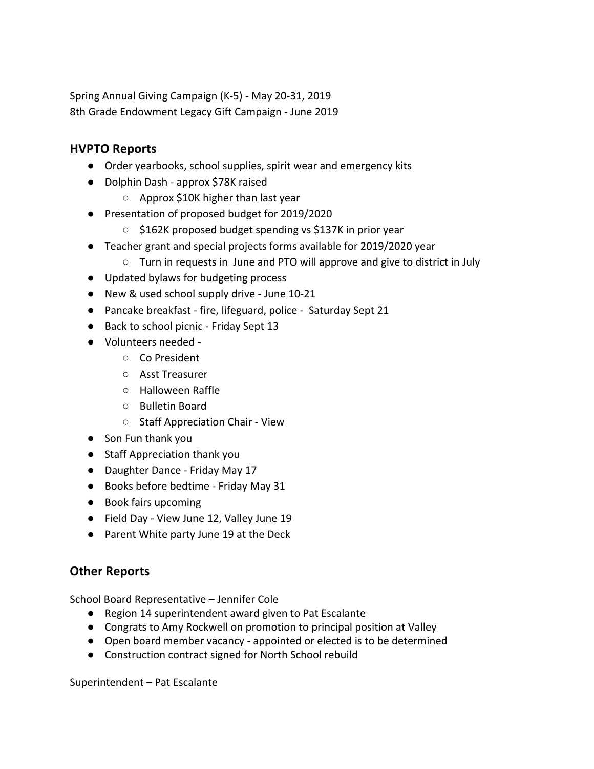Spring Annual Giving Campaign (K-5) - May 20-31, 2019 8th Grade Endowment Legacy Gift Campaign - June 2019

# **HVPTO Reports**

- Order yearbooks, school supplies, spirit wear and emergency kits
- Dolphin Dash approx \$78K raised
	- Approx \$10K higher than last year
- Presentation of proposed budget for 2019/2020
	- \$162K proposed budget spending vs \$137K in prior year
- Teacher grant and special projects forms available for 2019/2020 year
	- Turn in requests in June and PTO will approve and give to district in July
- Updated bylaws for budgeting process
- New & used school supply drive June 10-21
- Pancake breakfast fire, lifeguard, police Saturday Sept 21
- Back to school picnic Friday Sept 13
- Volunteers needed
	- Co President
	- Asst Treasurer
	- Halloween Raffle
	- Bulletin Board
	- Staff Appreciation Chair View
- Son Fun thank you
- Staff Appreciation thank you
- Daughter Dance Friday May 17
- Books before bedtime Friday May 31
- Book fairs upcoming
- Field Day View June 12, Valley June 19
- Parent White party June 19 at the Deck

# **Other Reports**

School Board Representative – Jennifer Cole

- Region 14 superintendent award given to Pat Escalante
- Congrats to Amy Rockwell on promotion to principal position at Valley
- Open board member vacancy appointed or elected is to be determined
- Construction contract signed for North School rebuild

Superintendent – Pat Escalante